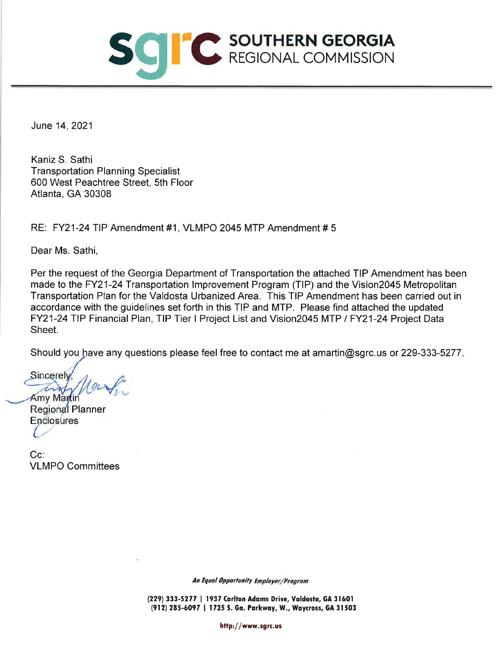

June 14, 2021

Kaniz S. Sathi **Transportation Planning Specialist** 600 West Peachtree Street, 5th Floor Atlanta, GA 30308

RE: FY21-24 TIP Amendment #1, VLMPO 2045 MTP Amendment #5

Dear Ms. Sathi,

Per the request of the Georgia Department of Transportation the attached TIP Amendment has been made to the FY21-24 Transportation Improvement Program (TIP) and the Vision2045 Metropolitan Transportation Plan for the Valdosta Urbanized Area. This TIP Amendment has been carried out in accordance with the guidelines set forth in this TIP and MTP. Please find attached the updated FY21-24 TIP Financial Plan, TIP Tier I Project List and Vision2045 MTP / FY21-24 Project Data Sheet.

Should you have any questions please feel free to contact me at amartin@sgrc.us or 229-333-5277.

**Sincerely** any Amy Martin

Regional Planner Enclosures

Cc: **VLMPO Committees** 

An Equal Opportunity Employer/Program

(229) 333-5277 | 1937 Carlton Adams Drive, Valdosta, GA 31601 (912) 285-6097 | 1725 S. Ga. Parkway, W., Waycross, GA 31503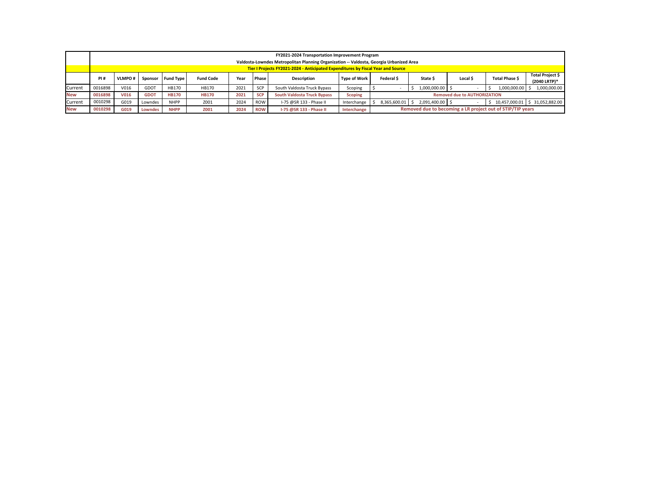|                |                                                                                  | <b>FY2021-2024 Transportation Improvement Program</b><br>Valdosta-Lowndes Metropolitan Planning Organization -- Valdosta, Georgia Urbanized Area |                |                  |                  |      |            |                                    |                     |                   |                   |                                     |                                                            |                                  |
|----------------|----------------------------------------------------------------------------------|--------------------------------------------------------------------------------------------------------------------------------------------------|----------------|------------------|------------------|------|------------|------------------------------------|---------------------|-------------------|-------------------|-------------------------------------|------------------------------------------------------------|----------------------------------|
|                | Tier I Projects FY2021-2024 - Anticipated Expenditures by Fiscal Year and Source |                                                                                                                                                  |                |                  |                  |      |            |                                    |                     |                   |                   |                                     |                                                            |                                  |
|                | PI#                                                                              | <b>VLMPO#</b>                                                                                                                                    | Sponsor        | <b>Fund Type</b> | <b>Fund Code</b> | Year | Phase      | <b>Description</b>                 | <b>Type of Work</b> | Federal \$        | State \$          | Local \$                            | Total Phase \$                                             | Total Project \$<br>(2040 LRTP)* |
| Current        | 0016898                                                                          | V016                                                                                                                                             | GDOT           | HB170            | HB170            | 2021 | <b>SCP</b> | South Valdosta Truck Bypass        | Scoping             |                   | $1,000,000.00$ \$ |                                     | 1,000,000.00                                               | 1,000,000.00                     |
| <b>New</b>     | 0016898                                                                          | <b>V016</b>                                                                                                                                      | <b>GDOT</b>    | <b>HB170</b>     | <b>HB170</b>     | 2021 | <b>SCP</b> | <b>South Valdosta Truck Bypass</b> | <b>Scoping</b>      |                   |                   | <b>Removed due to AUTHORIZATION</b> |                                                            |                                  |
| <b>Current</b> | 0010298                                                                          | G019                                                                                                                                             | Lowndes        | <b>NHPP</b>      | Z001             | 2024 | ROW        | I-75 @SR 133 - Phase II            | Interchange         | 8,365,600.01   \$ | 2,091,400.00 \$   |                                     |                                                            | 10,457,000.01   \$ 31,052,882.00 |
| <b>New</b>     | 0010298                                                                          | G019                                                                                                                                             | <b>Lowndes</b> | <b>NHPP</b>      | <b>Z001</b>      | 2024 | <b>ROW</b> | 1-75 @SR 133 - Phase II            | Interchange         |                   |                   |                                     | Removed due to becoming a LR project out of STIP/TIP years |                                  |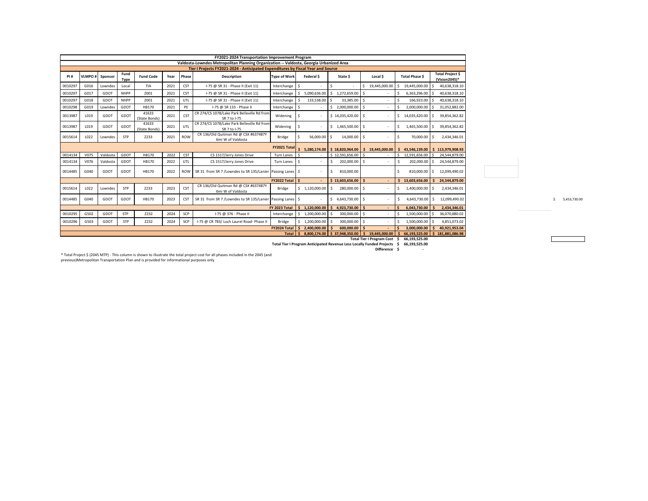|         |                                                                                  |             |                     |                        |                    |                      | FY2021-2024 Transportation Improvement Program                                          |                                                                                    |                          |                                  |                              |                         |                                   |
|---------|----------------------------------------------------------------------------------|-------------|---------------------|------------------------|--------------------|----------------------|-----------------------------------------------------------------------------------------|------------------------------------------------------------------------------------|--------------------------|----------------------------------|------------------------------|-------------------------|-----------------------------------|
|         |                                                                                  |             |                     |                        |                    |                      | Valdosta-Lowndes Metropolitan Planning Organization -- Valdosta, Georgia Urbanized Area |                                                                                    |                          |                                  |                              |                         |                                   |
|         | Tier I Projects FY2021-2024 - Anticipated Expenditures by Fiscal Year and Source |             |                     |                        |                    |                      |                                                                                         |                                                                                    |                          |                                  |                              |                         |                                   |
| PI#     | VLMPO#                                                                           | Sponsor     | Fund<br><b>Type</b> | <b>Fund Code</b>       | Year               | Phase                | <b>Description</b>                                                                      | <b>Type of Work</b>                                                                | Federal \$               | State \$                         | Local \$                     | Total Phase \$          | Total Project \$<br>(Vision2045)* |
| 0010297 | G016                                                                             | Lowndes     | Local               | TIA                    | 2021               | <b>CST</b>           | I-75 @ SR 31 - Phase II (Exit 11)                                                       | Interchange                                                                        |                          |                                  | 19,445,000.00                | 19,445,000.00           | 40,638,318.10                     |
| 0010297 | G017                                                                             | GDOT        | <b>NHPP</b>         | Z001                   | 2021               | <b>CST</b>           | I-75 @ SR 31 - Phase II (Exit 11)                                                       | Interchange                                                                        | 5,090,636.00<br>S.       | \$1,272,659.00                   |                              | 6,363,296.00            | 40,638,318.10                     |
| 0010297 | G018                                                                             | GDOT        | <b>NHPP</b>         | Z001                   | 2021               | UTL                  | I-75 @ SR 31 - Phase II (Exit 11)                                                       | Interchange                                                                        | 133,538.00               | $33,385.00$ \$                   |                              | 166,923.00              | 40,638,318.10<br>Ŝ.               |
| 0010298 | G019                                                                             | Lowndes     | GDOT                | HB170                  | 2021               | PE                   | I-75 @ SR 133 - Phase II                                                                | Interchange                                                                        | $\overline{\phantom{a}}$ | $\frac{1}{2}$ ,000,000.00 \$     |                              | 2,000,000.00            | 31,052,882.00<br><sup>5</sup>     |
| 0013987 | L019                                                                             | GDOT        | GDOT                | 41633<br>(State Bonds) | 2021               | <b>CST</b>           | CR 274/CS 1078/Lake Park Belleville Rd from<br>SR 7 to I-75                             | Widening                                                                           |                          | $$14,035,420.00$ $$$             |                              | 14,035,420.00 \$        | 39,854,362.82                     |
| 0013987 | L019                                                                             | GDOT        | GDOT                | 41633<br>(State Bonds) | 2021               | UTL                  | CR 274/CS 1078/Lake Park Belleville Rd from<br>SR 7 to I-75                             | Widening                                                                           |                          | $$1,465,500.00$ $$$              |                              | 1,465,500.00            | 39,854,362.82<br>S.               |
| 0015614 | L022                                                                             | Lowndes     | <b>STP</b>          | Z233                   | 2021               | <b>ROW</b>           | CR 136/Old Quitman Rd @ CSX #637487Y<br>6mi W of Valdosta                               | <b>Bridge</b>                                                                      | 56,000.00                | $14,000.00$   \$                 |                              | 70,000.00               | 2,434,346.01                      |
|         |                                                                                  |             |                     |                        | <b>FY2021 Tota</b> |                      |                                                                                         | $\frac{1}{2}$ 5,280,174.00 $\frac{1}{2}$ 18,820,964.00 $\frac{1}{2}$ 19,445,000.00 |                          | 43,546,139.00   \$113,979,908.93 |                              |                         |                                   |
| 0014134 | V075                                                                             | Valdosta    | GDOT                | HB170                  | 2022               | <b>CST</b>           | CS 1517/Jerry Jones Drive                                                               | <b>Turn Lanes</b>                                                                  |                          | $$12,591,656.00$ $$$             |                              | 12,591,656.00           | 24,544,879.00<br>S.               |
| 0014134 | V076                                                                             | Valdosta    | GDOT                | HB170                  | 2022               | UTL                  | CS 1517/Jerry Jones Drive                                                               | <b>Turn Lanes</b>                                                                  |                          | $202,000.00$ \$                  |                              | 202,000.00 \$           | 24,544,879.00                     |
| 0014485 | G040                                                                             | GDOT        | GDOT                | HB170                  | 2022               |                      | ROW   SR 31 from SR 7 / Lowndes to SR 135/Lanier   Passing Lanes   \$                   |                                                                                    |                          | 810,000.00<br>S.                 |                              | Š.<br>$810,000.00$   \$ | 12,099,490.02                     |
|         |                                                                                  |             |                     |                        |                    |                      |                                                                                         | FY2022 Total $\vert$ \$                                                            | $\sim$                   | $$13,603,656.00$ \ \$            |                              | 13,603,656.00<br>S.     | 24,544,879.00<br>S.               |
| 0015614 | L022                                                                             | Lowndes     | <b>STP</b>          | Z233                   | 2023               | <b>CST</b>           | CR 136/Old Quitman Rd @ CSX #637487Y<br>6mi W of Valdosta                               | <b>Bridge</b>                                                                      | \$1,120,000.00           | 280,000.00 \$<br>-S              |                              | 1,400,000.00            | 2,434,346.01<br>S.                |
| 0014485 | G040                                                                             | <b>GDOT</b> | GDOT                | HB170                  | 2023               | <b>CST</b>           | SR 31 from SR 7 / Lowndes to SR 135/Lanier   Passing Lanes   \$                         |                                                                                    |                          | $$4,643,730.00$ $$$              |                              | 4,643,730.00<br>S.      | 12,099,490.02<br>Ŝ.               |
|         |                                                                                  |             |                     |                        |                    | <b>FY 2023 Total</b> | 1,120,000.00<br>S.                                                                      | $4,923,730.00$ \$                                                                  |                          | 6,043,730.00                     | 2,434,346.01                 |                         |                                   |
| 0010295 | G502                                                                             | GDOT        | STP                 | Z232                   | 2024               | <b>SCP</b>           | I-75 @ 376 - Phase II                                                                   | Interchange                                                                        | 1,200,000.00             | $300,000.00$ $\frac{1}{5}$       |                              | 1,500,000.00            | 36,070,880.02                     |
| 0010296 | G503                                                                             | GDOT        | <b>STP</b>          | Z232                   | 2024               | <b>SCP</b>           | I-75 @ CR 783/ Loch Laurel Road- Phase II                                               | <b>Bridge</b>                                                                      | 1,200,000.00             | $300,000.00$ \$                  |                              | 1,500,000.00            | 4,851,073.02                      |
|         |                                                                                  |             |                     |                        |                    |                      |                                                                                         | FY2024 Total                                                                       | 2,400,000.00<br><b>S</b> | $600,000.00$ $\frac{1}{5}$       |                              | 3,000,000.00            | 40,921,953.04                     |
|         |                                                                                  |             |                     |                        |                    |                      |                                                                                         | Total $\vert$ \$                                                                   |                          | 8,800,174.00 \$37,948,350.00     | 19,445,000.00<br>S.          | 66,193,525.00           | \$181,881,086.98                  |
|         |                                                                                  |             |                     |                        |                    |                      |                                                                                         |                                                                                    |                          |                                  | Total Tier I Program Cost \$ | 66,193,525.00           |                                   |

**\$ -**

\* Total Project \$ (2045 MTP) - This column is shown to illustrate the total project cost for all phases included in the 2045 (and previous)Metropolitan Transportation Plan and is provided for informational purposes only

**\$ 66,193,525.00 Total Tier I Program Anticipated Revenue Less Locally Funded Projects**

**Difference**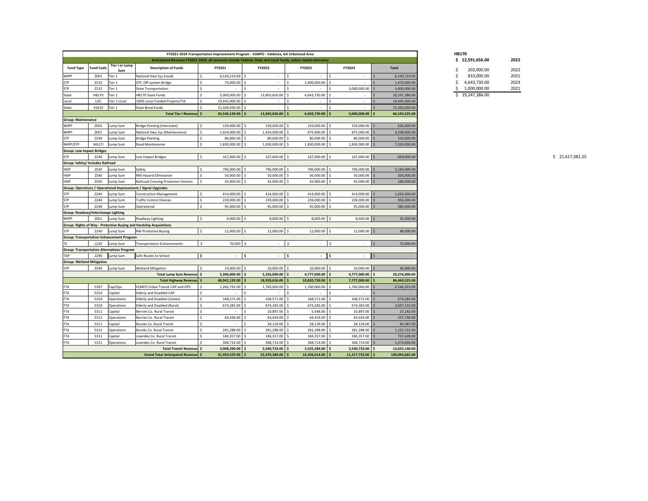| Anticipated Revenue FY2021-2024, all amounts include Federal, State and Local Funds, unless noted otherwise<br>Tier I or Lump<br><b>FY2023</b><br>FY2024<br><b>Fund Type</b><br><b>Description of Funds</b><br>FY2021<br><b>FY2022</b><br><b>Total</b><br><b>Fund Code</b><br>Sum<br>-Ś<br>Z001<br>Tier 1<br>National Hwy Sys (road)<br>6,530,219.00<br>l \$<br>6,530,219.00<br>$\sim$<br>Z233<br>Tier 1<br>STP, Off-system Bridge<br>70,000.00<br>1,400,000.00<br>1,470,000.00<br>Tier 1<br>3,000,000.00<br>Z232<br><b>State Transportation</b><br>3,000,000.00<br>-S<br>Tier 1<br>HB170 State Funds<br>2,000,000.00<br>13,603,656.00<br>4,643,730.00<br>HB170<br>20,247,386.00<br>LOC<br>Tier 1 Local<br>100% Local Funded Projects/TIA<br>19,445,000.00<br>-S<br>19,445,000.00<br>41633<br>Tier 1<br><b>State Bond Funds</b><br>15,500,920.00<br>15,500,920.00<br>Total Tier I Revenue   \$<br>43,546,139.00<br>13,603,656.00<br>6,043,730.00<br>3,000,000.00<br>66,193,525.00<br><b>Group: Maintenance</b><br>159,000.00<br>159,000.00 \$<br>159,000.00 \$<br>159,000.00 \$<br>Z001<br>Lump Sum<br>Bridge Painting (Interstate)<br>636,000.00<br>Z001<br>Lump Sum<br>National Hwy Sys (Maintenance)<br>1,424,000.00<br>1,424,000.00 \$<br>875,000.00 \$<br>875,000.00 \$<br>4,598,000.00<br><b>Bridge Painting</b><br>Z240<br>80,000.00<br>80,000.00 \$<br>80,000.00 \$<br>$80,000.00$ \$<br>320,000.00<br>Lump Sum<br>Lump Sum<br>1,830,000.00<br>1,830,000.00 \$<br>1,830,000.00<br>$1,830,000.00$ \$<br>7,320,000.00<br>MULTI<br>Road Maintenance<br>I \$<br><b>Group: Low Impact Bridges</b><br>167,000.00 \$<br>167,000.00<br>167,000.00 \$<br>167,000.00<br>Z240<br>Lump Sum<br>Low Impact Bridges<br>668,000.00<br>Group: Safety/ Includes Railroad<br>Safety<br>796,000.00<br>796,000.00 \$<br>796,000.00 \$<br>796,000.00 \$<br>ZS30<br>Lump Sum<br>3,184,000.00<br><b>RRX Hazard Elimination</b><br>ZS40<br>50,000.00<br>$50,000.00$ \$<br>$50,000.00$ \$<br>$50,000.00$ \$<br>200,000.00<br>Lump Sum<br><b>ZS50</b><br>42,000.00 \$<br>42,000.00 \$<br>42,000.00 \$<br>Lump Sum<br>Railroad Crossing Protection Devices<br>42,000.00<br>168,000.00<br>Group: Operations / Operational Improvement / Signal Upgrades<br>414,000.00 \$<br>414,000.00<br>414,000.00<br>414,000.00 \$<br>Z240<br>Lump Sum<br>1,656,000.00<br><b>Construction Management</b><br>239,000.00 \$<br>Z240<br><b>Traffic Control Devices</b><br>239,000.00<br>239,000.00<br>l \$<br>239,000.00<br>956,000.00<br>Lump Sum<br>95,000.00 \$<br>95,000.00<br>$95,000.00$ \$<br><b>STP</b><br>Z240<br>Lump Sum<br>95,000.00<br>∣ <<br>380,000.00<br>Operational<br><b>Group: Roadway/Interchange Lighting</b><br>8,000.00 \$<br>8,000.00 \$<br>8,000.00<br>$8,000.00$ \$<br><b>NHPP</b><br>Z001<br>Roadway Lighting<br>32,000.00<br>Lump Sum<br>Group: Rights of Way - Protective Buying and Hardship Acquisitions<br>12,000.00<br>$12,000.00$ \$<br>12,000.00<br>$12,000.00$ \$<br>Z240<br><b>RW Protective Buying</b><br>48,000.00<br>Lump Sum<br><b>Group: Transportation Enhancement Program</b><br>70,000 \$<br>\$<br>$\frac{1}{2}$<br>L220<br>-\$<br>70,000.00<br>Lump Sum<br><b>Transportation Enhancements</b><br><b>Group: Transportation Alternatives Program</b><br>Safe Routes to School<br>  \$<br>Z290<br>Lump Sum<br>l \$<br>- Ś<br>$\sim$<br>$\sim$<br><b>Group: Wetland Mitigation</b><br>10,000.00<br>$10,000.00$ \$<br>$10,000.00$ \$<br>$10,000.00$ \$<br>Z240<br>Lump Sum<br><b>Wetland Mitigation</b><br>40,000.00<br>-S<br>$5,326,000.00$ \$<br>4,777,000.00 \$<br>$4,777,000.00$ \$<br>Total Lump Sum Revenue \$<br>5,396,000.00<br>20,276,000.00<br>S.<br>48,942,139.00<br>18,929,656.00 \$<br>10,820,730.00 \$<br>$7,777,000.00$ \$<br>Total Highway Revenue   \$<br>86,469,525.00<br><b>FTA</b><br>5307<br>Cap/Ops<br>1,760,060.00 \$<br>VLMPO Urban Transit CAP and OPS<br>1,266,743.00<br>1,760,060.00 \$<br>1,760,060.00 \$<br>6,546,923.00<br><b>FTA</b><br>Capital<br><b>Elderly and Disabled CAP</b><br>5310<br>l \$<br>$\sim$<br>$\sim$<br>$\sim$<br>$\sim$<br>Elderly and Disabled (Urban)<br>168,571.00<br>168,571.00 \$<br>168,571.00 \$<br>168,571.00 \$<br><b>FTA</b><br>Operations<br>674,284.00<br>5310<br><b>FTA</b><br>674,283.00 \$<br>Elderly and Disabled (Rural)<br>674,283.00 \$<br>674,283.00 \$<br>2,697,132.00<br>5310<br>Operations<br>674,283.00<br>10,897.00 \$<br>10,897.00 \$<br><b>FTA</b><br>Capital<br>Berrien Co. Rural Transit<br>$5,448.00$ \$<br>27,242.00<br>5311<br><b>FTA</b><br>64,434.00 \$<br>64,434.00 \$<br>$64,434.00$ \$<br>5311<br>Berrien Co. Rural Transit<br>64,434.00<br>257,736.00<br>Operations<br>28,129.00 \$<br><b>FTA</b><br>28,129.00<br>28,129.00 \$<br>5311<br>Capital<br>Brooks Co. Rural Transit<br>84,387.00<br><b>FTA</b><br>281,288.00<br>281,288.00 \$<br>281,288.00 \$<br>Brooks Co. Rural Transit<br>281,288.00 \$<br>5311<br>Operations<br>1,125,152.00<br>184,357.00 \$<br>184,357.00 \$<br>184,357.00 \$<br><b>FTA</b><br>Capital<br>Lowndes Co. Rural Transit<br>184,357.00<br>737,428.00<br>5311<br><b>FTA</b><br>368,714.00 \$<br>368,714.00 \$<br>368,714.00 \$<br>5311<br>Lowndes Co. Rural Transit<br>368,714.00<br>1,474,856.00<br>Operations<br>$3,540,733.00$ \$<br>$3,535,284.00$ \$<br>$3,540,733.00$ \$<br>Total Transit Revenue   \$<br>3,008,390.00<br>13,625,140.00<br>51,950,529.00<br>22,470,389.00 \$<br>14,356,014.00 \$<br>$11,317,733.00$ \$<br>100,094,665.00<br>Grand Total Anticipated Revenue \$ |              |  |  |  |  | FY2021-2024 Transportation Improvement Program - VLMPO - Valdosta, GA Urbanized Area |  |  |  |  |
|-------------------------------------------------------------------------------------------------------------------------------------------------------------------------------------------------------------------------------------------------------------------------------------------------------------------------------------------------------------------------------------------------------------------------------------------------------------------------------------------------------------------------------------------------------------------------------------------------------------------------------------------------------------------------------------------------------------------------------------------------------------------------------------------------------------------------------------------------------------------------------------------------------------------------------------------------------------------------------------------------------------------------------------------------------------------------------------------------------------------------------------------------------------------------------------------------------------------------------------------------------------------------------------------------------------------------------------------------------------------------------------------------------------------------------------------------------------------------------------------------------------------------------------------------------------------------------------------------------------------------------------------------------------------------------------------------------------------------------------------------------------------------------------------------------------------------------------------------------------------------------------------------------------------------------------------------------------------------------------------------------------------------------------------------------------------------------------------------------------------------------------------------------------------------------------------------------------------------------------------------------------------------------------------------------------------------------------------------------------------------------------------------------------------------------------------------------------------------------------------------------------------------------------------------------------------------------------------------------------------------------------------------------------------------------------------------------------------------------------------------------------------------------------------------------------------------------------------------------------------------------------------------------------------------------------------------------------------------------------------------------------------------------------------------------------------------------------------------------------------------------------------------------------------------------------------------------------------------------------------------------------------------------------------------------------------------------------------------------------------------------------------------------------------------------------------------------------------------------------------------------------------------------------------------------------------------------------------------------------------------------------------------------------------------------------------------------------------------------------------------------------------------------------------------------------------------------------------------------------------------------------------------------------------------------------------------------------------------------------------------------------------------------------------------------------------------------------------------------------------------------------------------------------------------------------------------------------------------------------------------------------------------------------------------------------------------------------------------------------------------------------------------------------------------------------------------------------------------------------------------------------------------------------------------------------------------------------------------------------------------------------------------------------------------------------------------------------------------------------------------------------------------------------------------------------------------------------------------------------------------------------------------------------------------------------------------------------------------------------------------------------------------------------------------------------------------------------------------------------------------------------------------------------------------------------------------------------------------------------------------------------------------------------------------------------------------------------------------------------------------------------------------------------------------------------------------------------------------------------------------------------|--------------|--|--|--|--|--------------------------------------------------------------------------------------|--|--|--|--|
|                                                                                                                                                                                                                                                                                                                                                                                                                                                                                                                                                                                                                                                                                                                                                                                                                                                                                                                                                                                                                                                                                                                                                                                                                                                                                                                                                                                                                                                                                                                                                                                                                                                                                                                                                                                                                                                                                                                                                                                                                                                                                                                                                                                                                                                                                                                                                                                                                                                                                                                                                                                                                                                                                                                                                                                                                                                                                                                                                                                                                                                                                                                                                                                                                                                                                                                                                                                                                                                                                                                                                                                                                                                                                                                                                                                                                                                                                                                                                                                                                                                                                                                                                                                                                                                                                                                                                                                                                                                                                                                                                                                                                                                                                                                                                                                                                                                                                                                                                                                                                                                                                                                                                                                                                                                                                                                                                                                                                                                                                                             |              |  |  |  |  |                                                                                      |  |  |  |  |
|                                                                                                                                                                                                                                                                                                                                                                                                                                                                                                                                                                                                                                                                                                                                                                                                                                                                                                                                                                                                                                                                                                                                                                                                                                                                                                                                                                                                                                                                                                                                                                                                                                                                                                                                                                                                                                                                                                                                                                                                                                                                                                                                                                                                                                                                                                                                                                                                                                                                                                                                                                                                                                                                                                                                                                                                                                                                                                                                                                                                                                                                                                                                                                                                                                                                                                                                                                                                                                                                                                                                                                                                                                                                                                                                                                                                                                                                                                                                                                                                                                                                                                                                                                                                                                                                                                                                                                                                                                                                                                                                                                                                                                                                                                                                                                                                                                                                                                                                                                                                                                                                                                                                                                                                                                                                                                                                                                                                                                                                                                             |              |  |  |  |  |                                                                                      |  |  |  |  |
|                                                                                                                                                                                                                                                                                                                                                                                                                                                                                                                                                                                                                                                                                                                                                                                                                                                                                                                                                                                                                                                                                                                                                                                                                                                                                                                                                                                                                                                                                                                                                                                                                                                                                                                                                                                                                                                                                                                                                                                                                                                                                                                                                                                                                                                                                                                                                                                                                                                                                                                                                                                                                                                                                                                                                                                                                                                                                                                                                                                                                                                                                                                                                                                                                                                                                                                                                                                                                                                                                                                                                                                                                                                                                                                                                                                                                                                                                                                                                                                                                                                                                                                                                                                                                                                                                                                                                                                                                                                                                                                                                                                                                                                                                                                                                                                                                                                                                                                                                                                                                                                                                                                                                                                                                                                                                                                                                                                                                                                                                                             | <b>NHPP</b>  |  |  |  |  |                                                                                      |  |  |  |  |
|                                                                                                                                                                                                                                                                                                                                                                                                                                                                                                                                                                                                                                                                                                                                                                                                                                                                                                                                                                                                                                                                                                                                                                                                                                                                                                                                                                                                                                                                                                                                                                                                                                                                                                                                                                                                                                                                                                                                                                                                                                                                                                                                                                                                                                                                                                                                                                                                                                                                                                                                                                                                                                                                                                                                                                                                                                                                                                                                                                                                                                                                                                                                                                                                                                                                                                                                                                                                                                                                                                                                                                                                                                                                                                                                                                                                                                                                                                                                                                                                                                                                                                                                                                                                                                                                                                                                                                                                                                                                                                                                                                                                                                                                                                                                                                                                                                                                                                                                                                                                                                                                                                                                                                                                                                                                                                                                                                                                                                                                                                             | <b>STP</b>   |  |  |  |  |                                                                                      |  |  |  |  |
|                                                                                                                                                                                                                                                                                                                                                                                                                                                                                                                                                                                                                                                                                                                                                                                                                                                                                                                                                                                                                                                                                                                                                                                                                                                                                                                                                                                                                                                                                                                                                                                                                                                                                                                                                                                                                                                                                                                                                                                                                                                                                                                                                                                                                                                                                                                                                                                                                                                                                                                                                                                                                                                                                                                                                                                                                                                                                                                                                                                                                                                                                                                                                                                                                                                                                                                                                                                                                                                                                                                                                                                                                                                                                                                                                                                                                                                                                                                                                                                                                                                                                                                                                                                                                                                                                                                                                                                                                                                                                                                                                                                                                                                                                                                                                                                                                                                                                                                                                                                                                                                                                                                                                                                                                                                                                                                                                                                                                                                                                                             | <b>STP</b>   |  |  |  |  |                                                                                      |  |  |  |  |
|                                                                                                                                                                                                                                                                                                                                                                                                                                                                                                                                                                                                                                                                                                                                                                                                                                                                                                                                                                                                                                                                                                                                                                                                                                                                                                                                                                                                                                                                                                                                                                                                                                                                                                                                                                                                                                                                                                                                                                                                                                                                                                                                                                                                                                                                                                                                                                                                                                                                                                                                                                                                                                                                                                                                                                                                                                                                                                                                                                                                                                                                                                                                                                                                                                                                                                                                                                                                                                                                                                                                                                                                                                                                                                                                                                                                                                                                                                                                                                                                                                                                                                                                                                                                                                                                                                                                                                                                                                                                                                                                                                                                                                                                                                                                                                                                                                                                                                                                                                                                                                                                                                                                                                                                                                                                                                                                                                                                                                                                                                             | State        |  |  |  |  |                                                                                      |  |  |  |  |
|                                                                                                                                                                                                                                                                                                                                                                                                                                                                                                                                                                                                                                                                                                                                                                                                                                                                                                                                                                                                                                                                                                                                                                                                                                                                                                                                                                                                                                                                                                                                                                                                                                                                                                                                                                                                                                                                                                                                                                                                                                                                                                                                                                                                                                                                                                                                                                                                                                                                                                                                                                                                                                                                                                                                                                                                                                                                                                                                                                                                                                                                                                                                                                                                                                                                                                                                                                                                                                                                                                                                                                                                                                                                                                                                                                                                                                                                                                                                                                                                                                                                                                                                                                                                                                                                                                                                                                                                                                                                                                                                                                                                                                                                                                                                                                                                                                                                                                                                                                                                                                                                                                                                                                                                                                                                                                                                                                                                                                                                                                             | Local        |  |  |  |  |                                                                                      |  |  |  |  |
|                                                                                                                                                                                                                                                                                                                                                                                                                                                                                                                                                                                                                                                                                                                                                                                                                                                                                                                                                                                                                                                                                                                                                                                                                                                                                                                                                                                                                                                                                                                                                                                                                                                                                                                                                                                                                                                                                                                                                                                                                                                                                                                                                                                                                                                                                                                                                                                                                                                                                                                                                                                                                                                                                                                                                                                                                                                                                                                                                                                                                                                                                                                                                                                                                                                                                                                                                                                                                                                                                                                                                                                                                                                                                                                                                                                                                                                                                                                                                                                                                                                                                                                                                                                                                                                                                                                                                                                                                                                                                                                                                                                                                                                                                                                                                                                                                                                                                                                                                                                                                                                                                                                                                                                                                                                                                                                                                                                                                                                                                                             | <b>State</b> |  |  |  |  |                                                                                      |  |  |  |  |
|                                                                                                                                                                                                                                                                                                                                                                                                                                                                                                                                                                                                                                                                                                                                                                                                                                                                                                                                                                                                                                                                                                                                                                                                                                                                                                                                                                                                                                                                                                                                                                                                                                                                                                                                                                                                                                                                                                                                                                                                                                                                                                                                                                                                                                                                                                                                                                                                                                                                                                                                                                                                                                                                                                                                                                                                                                                                                                                                                                                                                                                                                                                                                                                                                                                                                                                                                                                                                                                                                                                                                                                                                                                                                                                                                                                                                                                                                                                                                                                                                                                                                                                                                                                                                                                                                                                                                                                                                                                                                                                                                                                                                                                                                                                                                                                                                                                                                                                                                                                                                                                                                                                                                                                                                                                                                                                                                                                                                                                                                                             |              |  |  |  |  |                                                                                      |  |  |  |  |
|                                                                                                                                                                                                                                                                                                                                                                                                                                                                                                                                                                                                                                                                                                                                                                                                                                                                                                                                                                                                                                                                                                                                                                                                                                                                                                                                                                                                                                                                                                                                                                                                                                                                                                                                                                                                                                                                                                                                                                                                                                                                                                                                                                                                                                                                                                                                                                                                                                                                                                                                                                                                                                                                                                                                                                                                                                                                                                                                                                                                                                                                                                                                                                                                                                                                                                                                                                                                                                                                                                                                                                                                                                                                                                                                                                                                                                                                                                                                                                                                                                                                                                                                                                                                                                                                                                                                                                                                                                                                                                                                                                                                                                                                                                                                                                                                                                                                                                                                                                                                                                                                                                                                                                                                                                                                                                                                                                                                                                                                                                             |              |  |  |  |  |                                                                                      |  |  |  |  |
|                                                                                                                                                                                                                                                                                                                                                                                                                                                                                                                                                                                                                                                                                                                                                                                                                                                                                                                                                                                                                                                                                                                                                                                                                                                                                                                                                                                                                                                                                                                                                                                                                                                                                                                                                                                                                                                                                                                                                                                                                                                                                                                                                                                                                                                                                                                                                                                                                                                                                                                                                                                                                                                                                                                                                                                                                                                                                                                                                                                                                                                                                                                                                                                                                                                                                                                                                                                                                                                                                                                                                                                                                                                                                                                                                                                                                                                                                                                                                                                                                                                                                                                                                                                                                                                                                                                                                                                                                                                                                                                                                                                                                                                                                                                                                                                                                                                                                                                                                                                                                                                                                                                                                                                                                                                                                                                                                                                                                                                                                                             | <b>NHPP</b>  |  |  |  |  |                                                                                      |  |  |  |  |
|                                                                                                                                                                                                                                                                                                                                                                                                                                                                                                                                                                                                                                                                                                                                                                                                                                                                                                                                                                                                                                                                                                                                                                                                                                                                                                                                                                                                                                                                                                                                                                                                                                                                                                                                                                                                                                                                                                                                                                                                                                                                                                                                                                                                                                                                                                                                                                                                                                                                                                                                                                                                                                                                                                                                                                                                                                                                                                                                                                                                                                                                                                                                                                                                                                                                                                                                                                                                                                                                                                                                                                                                                                                                                                                                                                                                                                                                                                                                                                                                                                                                                                                                                                                                                                                                                                                                                                                                                                                                                                                                                                                                                                                                                                                                                                                                                                                                                                                                                                                                                                                                                                                                                                                                                                                                                                                                                                                                                                                                                                             | <b>NHPP</b>  |  |  |  |  |                                                                                      |  |  |  |  |
|                                                                                                                                                                                                                                                                                                                                                                                                                                                                                                                                                                                                                                                                                                                                                                                                                                                                                                                                                                                                                                                                                                                                                                                                                                                                                                                                                                                                                                                                                                                                                                                                                                                                                                                                                                                                                                                                                                                                                                                                                                                                                                                                                                                                                                                                                                                                                                                                                                                                                                                                                                                                                                                                                                                                                                                                                                                                                                                                                                                                                                                                                                                                                                                                                                                                                                                                                                                                                                                                                                                                                                                                                                                                                                                                                                                                                                                                                                                                                                                                                                                                                                                                                                                                                                                                                                                                                                                                                                                                                                                                                                                                                                                                                                                                                                                                                                                                                                                                                                                                                                                                                                                                                                                                                                                                                                                                                                                                                                                                                                             | <b>STP</b>   |  |  |  |  |                                                                                      |  |  |  |  |
|                                                                                                                                                                                                                                                                                                                                                                                                                                                                                                                                                                                                                                                                                                                                                                                                                                                                                                                                                                                                                                                                                                                                                                                                                                                                                                                                                                                                                                                                                                                                                                                                                                                                                                                                                                                                                                                                                                                                                                                                                                                                                                                                                                                                                                                                                                                                                                                                                                                                                                                                                                                                                                                                                                                                                                                                                                                                                                                                                                                                                                                                                                                                                                                                                                                                                                                                                                                                                                                                                                                                                                                                                                                                                                                                                                                                                                                                                                                                                                                                                                                                                                                                                                                                                                                                                                                                                                                                                                                                                                                                                                                                                                                                                                                                                                                                                                                                                                                                                                                                                                                                                                                                                                                                                                                                                                                                                                                                                                                                                                             | NHPP/STP     |  |  |  |  |                                                                                      |  |  |  |  |
|                                                                                                                                                                                                                                                                                                                                                                                                                                                                                                                                                                                                                                                                                                                                                                                                                                                                                                                                                                                                                                                                                                                                                                                                                                                                                                                                                                                                                                                                                                                                                                                                                                                                                                                                                                                                                                                                                                                                                                                                                                                                                                                                                                                                                                                                                                                                                                                                                                                                                                                                                                                                                                                                                                                                                                                                                                                                                                                                                                                                                                                                                                                                                                                                                                                                                                                                                                                                                                                                                                                                                                                                                                                                                                                                                                                                                                                                                                                                                                                                                                                                                                                                                                                                                                                                                                                                                                                                                                                                                                                                                                                                                                                                                                                                                                                                                                                                                                                                                                                                                                                                                                                                                                                                                                                                                                                                                                                                                                                                                                             |              |  |  |  |  |                                                                                      |  |  |  |  |
|                                                                                                                                                                                                                                                                                                                                                                                                                                                                                                                                                                                                                                                                                                                                                                                                                                                                                                                                                                                                                                                                                                                                                                                                                                                                                                                                                                                                                                                                                                                                                                                                                                                                                                                                                                                                                                                                                                                                                                                                                                                                                                                                                                                                                                                                                                                                                                                                                                                                                                                                                                                                                                                                                                                                                                                                                                                                                                                                                                                                                                                                                                                                                                                                                                                                                                                                                                                                                                                                                                                                                                                                                                                                                                                                                                                                                                                                                                                                                                                                                                                                                                                                                                                                                                                                                                                                                                                                                                                                                                                                                                                                                                                                                                                                                                                                                                                                                                                                                                                                                                                                                                                                                                                                                                                                                                                                                                                                                                                                                                             | <b>STP</b>   |  |  |  |  |                                                                                      |  |  |  |  |
|                                                                                                                                                                                                                                                                                                                                                                                                                                                                                                                                                                                                                                                                                                                                                                                                                                                                                                                                                                                                                                                                                                                                                                                                                                                                                                                                                                                                                                                                                                                                                                                                                                                                                                                                                                                                                                                                                                                                                                                                                                                                                                                                                                                                                                                                                                                                                                                                                                                                                                                                                                                                                                                                                                                                                                                                                                                                                                                                                                                                                                                                                                                                                                                                                                                                                                                                                                                                                                                                                                                                                                                                                                                                                                                                                                                                                                                                                                                                                                                                                                                                                                                                                                                                                                                                                                                                                                                                                                                                                                                                                                                                                                                                                                                                                                                                                                                                                                                                                                                                                                                                                                                                                                                                                                                                                                                                                                                                                                                                                                             |              |  |  |  |  |                                                                                      |  |  |  |  |
|                                                                                                                                                                                                                                                                                                                                                                                                                                                                                                                                                                                                                                                                                                                                                                                                                                                                                                                                                                                                                                                                                                                                                                                                                                                                                                                                                                                                                                                                                                                                                                                                                                                                                                                                                                                                                                                                                                                                                                                                                                                                                                                                                                                                                                                                                                                                                                                                                                                                                                                                                                                                                                                                                                                                                                                                                                                                                                                                                                                                                                                                                                                                                                                                                                                                                                                                                                                                                                                                                                                                                                                                                                                                                                                                                                                                                                                                                                                                                                                                                                                                                                                                                                                                                                                                                                                                                                                                                                                                                                                                                                                                                                                                                                                                                                                                                                                                                                                                                                                                                                                                                                                                                                                                                                                                                                                                                                                                                                                                                                             | <b>HSIP</b>  |  |  |  |  |                                                                                      |  |  |  |  |
|                                                                                                                                                                                                                                                                                                                                                                                                                                                                                                                                                                                                                                                                                                                                                                                                                                                                                                                                                                                                                                                                                                                                                                                                                                                                                                                                                                                                                                                                                                                                                                                                                                                                                                                                                                                                                                                                                                                                                                                                                                                                                                                                                                                                                                                                                                                                                                                                                                                                                                                                                                                                                                                                                                                                                                                                                                                                                                                                                                                                                                                                                                                                                                                                                                                                                                                                                                                                                                                                                                                                                                                                                                                                                                                                                                                                                                                                                                                                                                                                                                                                                                                                                                                                                                                                                                                                                                                                                                                                                                                                                                                                                                                                                                                                                                                                                                                                                                                                                                                                                                                                                                                                                                                                                                                                                                                                                                                                                                                                                                             | <b>HSIP</b>  |  |  |  |  |                                                                                      |  |  |  |  |
|                                                                                                                                                                                                                                                                                                                                                                                                                                                                                                                                                                                                                                                                                                                                                                                                                                                                                                                                                                                                                                                                                                                                                                                                                                                                                                                                                                                                                                                                                                                                                                                                                                                                                                                                                                                                                                                                                                                                                                                                                                                                                                                                                                                                                                                                                                                                                                                                                                                                                                                                                                                                                                                                                                                                                                                                                                                                                                                                                                                                                                                                                                                                                                                                                                                                                                                                                                                                                                                                                                                                                                                                                                                                                                                                                                                                                                                                                                                                                                                                                                                                                                                                                                                                                                                                                                                                                                                                                                                                                                                                                                                                                                                                                                                                                                                                                                                                                                                                                                                                                                                                                                                                                                                                                                                                                                                                                                                                                                                                                                             | <b>HSIP</b>  |  |  |  |  |                                                                                      |  |  |  |  |
|                                                                                                                                                                                                                                                                                                                                                                                                                                                                                                                                                                                                                                                                                                                                                                                                                                                                                                                                                                                                                                                                                                                                                                                                                                                                                                                                                                                                                                                                                                                                                                                                                                                                                                                                                                                                                                                                                                                                                                                                                                                                                                                                                                                                                                                                                                                                                                                                                                                                                                                                                                                                                                                                                                                                                                                                                                                                                                                                                                                                                                                                                                                                                                                                                                                                                                                                                                                                                                                                                                                                                                                                                                                                                                                                                                                                                                                                                                                                                                                                                                                                                                                                                                                                                                                                                                                                                                                                                                                                                                                                                                                                                                                                                                                                                                                                                                                                                                                                                                                                                                                                                                                                                                                                                                                                                                                                                                                                                                                                                                             |              |  |  |  |  |                                                                                      |  |  |  |  |
|                                                                                                                                                                                                                                                                                                                                                                                                                                                                                                                                                                                                                                                                                                                                                                                                                                                                                                                                                                                                                                                                                                                                                                                                                                                                                                                                                                                                                                                                                                                                                                                                                                                                                                                                                                                                                                                                                                                                                                                                                                                                                                                                                                                                                                                                                                                                                                                                                                                                                                                                                                                                                                                                                                                                                                                                                                                                                                                                                                                                                                                                                                                                                                                                                                                                                                                                                                                                                                                                                                                                                                                                                                                                                                                                                                                                                                                                                                                                                                                                                                                                                                                                                                                                                                                                                                                                                                                                                                                                                                                                                                                                                                                                                                                                                                                                                                                                                                                                                                                                                                                                                                                                                                                                                                                                                                                                                                                                                                                                                                             | <b>STP</b>   |  |  |  |  |                                                                                      |  |  |  |  |
|                                                                                                                                                                                                                                                                                                                                                                                                                                                                                                                                                                                                                                                                                                                                                                                                                                                                                                                                                                                                                                                                                                                                                                                                                                                                                                                                                                                                                                                                                                                                                                                                                                                                                                                                                                                                                                                                                                                                                                                                                                                                                                                                                                                                                                                                                                                                                                                                                                                                                                                                                                                                                                                                                                                                                                                                                                                                                                                                                                                                                                                                                                                                                                                                                                                                                                                                                                                                                                                                                                                                                                                                                                                                                                                                                                                                                                                                                                                                                                                                                                                                                                                                                                                                                                                                                                                                                                                                                                                                                                                                                                                                                                                                                                                                                                                                                                                                                                                                                                                                                                                                                                                                                                                                                                                                                                                                                                                                                                                                                                             | <b>STP</b>   |  |  |  |  |                                                                                      |  |  |  |  |
|                                                                                                                                                                                                                                                                                                                                                                                                                                                                                                                                                                                                                                                                                                                                                                                                                                                                                                                                                                                                                                                                                                                                                                                                                                                                                                                                                                                                                                                                                                                                                                                                                                                                                                                                                                                                                                                                                                                                                                                                                                                                                                                                                                                                                                                                                                                                                                                                                                                                                                                                                                                                                                                                                                                                                                                                                                                                                                                                                                                                                                                                                                                                                                                                                                                                                                                                                                                                                                                                                                                                                                                                                                                                                                                                                                                                                                                                                                                                                                                                                                                                                                                                                                                                                                                                                                                                                                                                                                                                                                                                                                                                                                                                                                                                                                                                                                                                                                                                                                                                                                                                                                                                                                                                                                                                                                                                                                                                                                                                                                             |              |  |  |  |  |                                                                                      |  |  |  |  |
|                                                                                                                                                                                                                                                                                                                                                                                                                                                                                                                                                                                                                                                                                                                                                                                                                                                                                                                                                                                                                                                                                                                                                                                                                                                                                                                                                                                                                                                                                                                                                                                                                                                                                                                                                                                                                                                                                                                                                                                                                                                                                                                                                                                                                                                                                                                                                                                                                                                                                                                                                                                                                                                                                                                                                                                                                                                                                                                                                                                                                                                                                                                                                                                                                                                                                                                                                                                                                                                                                                                                                                                                                                                                                                                                                                                                                                                                                                                                                                                                                                                                                                                                                                                                                                                                                                                                                                                                                                                                                                                                                                                                                                                                                                                                                                                                                                                                                                                                                                                                                                                                                                                                                                                                                                                                                                                                                                                                                                                                                                             |              |  |  |  |  |                                                                                      |  |  |  |  |
|                                                                                                                                                                                                                                                                                                                                                                                                                                                                                                                                                                                                                                                                                                                                                                                                                                                                                                                                                                                                                                                                                                                                                                                                                                                                                                                                                                                                                                                                                                                                                                                                                                                                                                                                                                                                                                                                                                                                                                                                                                                                                                                                                                                                                                                                                                                                                                                                                                                                                                                                                                                                                                                                                                                                                                                                                                                                                                                                                                                                                                                                                                                                                                                                                                                                                                                                                                                                                                                                                                                                                                                                                                                                                                                                                                                                                                                                                                                                                                                                                                                                                                                                                                                                                                                                                                                                                                                                                                                                                                                                                                                                                                                                                                                                                                                                                                                                                                                                                                                                                                                                                                                                                                                                                                                                                                                                                                                                                                                                                                             |              |  |  |  |  |                                                                                      |  |  |  |  |
|                                                                                                                                                                                                                                                                                                                                                                                                                                                                                                                                                                                                                                                                                                                                                                                                                                                                                                                                                                                                                                                                                                                                                                                                                                                                                                                                                                                                                                                                                                                                                                                                                                                                                                                                                                                                                                                                                                                                                                                                                                                                                                                                                                                                                                                                                                                                                                                                                                                                                                                                                                                                                                                                                                                                                                                                                                                                                                                                                                                                                                                                                                                                                                                                                                                                                                                                                                                                                                                                                                                                                                                                                                                                                                                                                                                                                                                                                                                                                                                                                                                                                                                                                                                                                                                                                                                                                                                                                                                                                                                                                                                                                                                                                                                                                                                                                                                                                                                                                                                                                                                                                                                                                                                                                                                                                                                                                                                                                                                                                                             |              |  |  |  |  |                                                                                      |  |  |  |  |
|                                                                                                                                                                                                                                                                                                                                                                                                                                                                                                                                                                                                                                                                                                                                                                                                                                                                                                                                                                                                                                                                                                                                                                                                                                                                                                                                                                                                                                                                                                                                                                                                                                                                                                                                                                                                                                                                                                                                                                                                                                                                                                                                                                                                                                                                                                                                                                                                                                                                                                                                                                                                                                                                                                                                                                                                                                                                                                                                                                                                                                                                                                                                                                                                                                                                                                                                                                                                                                                                                                                                                                                                                                                                                                                                                                                                                                                                                                                                                                                                                                                                                                                                                                                                                                                                                                                                                                                                                                                                                                                                                                                                                                                                                                                                                                                                                                                                                                                                                                                                                                                                                                                                                                                                                                                                                                                                                                                                                                                                                                             | <b>STP</b>   |  |  |  |  |                                                                                      |  |  |  |  |
|                                                                                                                                                                                                                                                                                                                                                                                                                                                                                                                                                                                                                                                                                                                                                                                                                                                                                                                                                                                                                                                                                                                                                                                                                                                                                                                                                                                                                                                                                                                                                                                                                                                                                                                                                                                                                                                                                                                                                                                                                                                                                                                                                                                                                                                                                                                                                                                                                                                                                                                                                                                                                                                                                                                                                                                                                                                                                                                                                                                                                                                                                                                                                                                                                                                                                                                                                                                                                                                                                                                                                                                                                                                                                                                                                                                                                                                                                                                                                                                                                                                                                                                                                                                                                                                                                                                                                                                                                                                                                                                                                                                                                                                                                                                                                                                                                                                                                                                                                                                                                                                                                                                                                                                                                                                                                                                                                                                                                                                                                                             |              |  |  |  |  |                                                                                      |  |  |  |  |
|                                                                                                                                                                                                                                                                                                                                                                                                                                                                                                                                                                                                                                                                                                                                                                                                                                                                                                                                                                                                                                                                                                                                                                                                                                                                                                                                                                                                                                                                                                                                                                                                                                                                                                                                                                                                                                                                                                                                                                                                                                                                                                                                                                                                                                                                                                                                                                                                                                                                                                                                                                                                                                                                                                                                                                                                                                                                                                                                                                                                                                                                                                                                                                                                                                                                                                                                                                                                                                                                                                                                                                                                                                                                                                                                                                                                                                                                                                                                                                                                                                                                                                                                                                                                                                                                                                                                                                                                                                                                                                                                                                                                                                                                                                                                                                                                                                                                                                                                                                                                                                                                                                                                                                                                                                                                                                                                                                                                                                                                                                             | TE           |  |  |  |  |                                                                                      |  |  |  |  |
|                                                                                                                                                                                                                                                                                                                                                                                                                                                                                                                                                                                                                                                                                                                                                                                                                                                                                                                                                                                                                                                                                                                                                                                                                                                                                                                                                                                                                                                                                                                                                                                                                                                                                                                                                                                                                                                                                                                                                                                                                                                                                                                                                                                                                                                                                                                                                                                                                                                                                                                                                                                                                                                                                                                                                                                                                                                                                                                                                                                                                                                                                                                                                                                                                                                                                                                                                                                                                                                                                                                                                                                                                                                                                                                                                                                                                                                                                                                                                                                                                                                                                                                                                                                                                                                                                                                                                                                                                                                                                                                                                                                                                                                                                                                                                                                                                                                                                                                                                                                                                                                                                                                                                                                                                                                                                                                                                                                                                                                                                                             |              |  |  |  |  |                                                                                      |  |  |  |  |
|                                                                                                                                                                                                                                                                                                                                                                                                                                                                                                                                                                                                                                                                                                                                                                                                                                                                                                                                                                                                                                                                                                                                                                                                                                                                                                                                                                                                                                                                                                                                                                                                                                                                                                                                                                                                                                                                                                                                                                                                                                                                                                                                                                                                                                                                                                                                                                                                                                                                                                                                                                                                                                                                                                                                                                                                                                                                                                                                                                                                                                                                                                                                                                                                                                                                                                                                                                                                                                                                                                                                                                                                                                                                                                                                                                                                                                                                                                                                                                                                                                                                                                                                                                                                                                                                                                                                                                                                                                                                                                                                                                                                                                                                                                                                                                                                                                                                                                                                                                                                                                                                                                                                                                                                                                                                                                                                                                                                                                                                                                             | <b>TAP</b>   |  |  |  |  |                                                                                      |  |  |  |  |
|                                                                                                                                                                                                                                                                                                                                                                                                                                                                                                                                                                                                                                                                                                                                                                                                                                                                                                                                                                                                                                                                                                                                                                                                                                                                                                                                                                                                                                                                                                                                                                                                                                                                                                                                                                                                                                                                                                                                                                                                                                                                                                                                                                                                                                                                                                                                                                                                                                                                                                                                                                                                                                                                                                                                                                                                                                                                                                                                                                                                                                                                                                                                                                                                                                                                                                                                                                                                                                                                                                                                                                                                                                                                                                                                                                                                                                                                                                                                                                                                                                                                                                                                                                                                                                                                                                                                                                                                                                                                                                                                                                                                                                                                                                                                                                                                                                                                                                                                                                                                                                                                                                                                                                                                                                                                                                                                                                                                                                                                                                             |              |  |  |  |  |                                                                                      |  |  |  |  |
|                                                                                                                                                                                                                                                                                                                                                                                                                                                                                                                                                                                                                                                                                                                                                                                                                                                                                                                                                                                                                                                                                                                                                                                                                                                                                                                                                                                                                                                                                                                                                                                                                                                                                                                                                                                                                                                                                                                                                                                                                                                                                                                                                                                                                                                                                                                                                                                                                                                                                                                                                                                                                                                                                                                                                                                                                                                                                                                                                                                                                                                                                                                                                                                                                                                                                                                                                                                                                                                                                                                                                                                                                                                                                                                                                                                                                                                                                                                                                                                                                                                                                                                                                                                                                                                                                                                                                                                                                                                                                                                                                                                                                                                                                                                                                                                                                                                                                                                                                                                                                                                                                                                                                                                                                                                                                                                                                                                                                                                                                                             | <b>STP</b>   |  |  |  |  |                                                                                      |  |  |  |  |
|                                                                                                                                                                                                                                                                                                                                                                                                                                                                                                                                                                                                                                                                                                                                                                                                                                                                                                                                                                                                                                                                                                                                                                                                                                                                                                                                                                                                                                                                                                                                                                                                                                                                                                                                                                                                                                                                                                                                                                                                                                                                                                                                                                                                                                                                                                                                                                                                                                                                                                                                                                                                                                                                                                                                                                                                                                                                                                                                                                                                                                                                                                                                                                                                                                                                                                                                                                                                                                                                                                                                                                                                                                                                                                                                                                                                                                                                                                                                                                                                                                                                                                                                                                                                                                                                                                                                                                                                                                                                                                                                                                                                                                                                                                                                                                                                                                                                                                                                                                                                                                                                                                                                                                                                                                                                                                                                                                                                                                                                                                             |              |  |  |  |  |                                                                                      |  |  |  |  |
|                                                                                                                                                                                                                                                                                                                                                                                                                                                                                                                                                                                                                                                                                                                                                                                                                                                                                                                                                                                                                                                                                                                                                                                                                                                                                                                                                                                                                                                                                                                                                                                                                                                                                                                                                                                                                                                                                                                                                                                                                                                                                                                                                                                                                                                                                                                                                                                                                                                                                                                                                                                                                                                                                                                                                                                                                                                                                                                                                                                                                                                                                                                                                                                                                                                                                                                                                                                                                                                                                                                                                                                                                                                                                                                                                                                                                                                                                                                                                                                                                                                                                                                                                                                                                                                                                                                                                                                                                                                                                                                                                                                                                                                                                                                                                                                                                                                                                                                                                                                                                                                                                                                                                                                                                                                                                                                                                                                                                                                                                                             |              |  |  |  |  |                                                                                      |  |  |  |  |
|                                                                                                                                                                                                                                                                                                                                                                                                                                                                                                                                                                                                                                                                                                                                                                                                                                                                                                                                                                                                                                                                                                                                                                                                                                                                                                                                                                                                                                                                                                                                                                                                                                                                                                                                                                                                                                                                                                                                                                                                                                                                                                                                                                                                                                                                                                                                                                                                                                                                                                                                                                                                                                                                                                                                                                                                                                                                                                                                                                                                                                                                                                                                                                                                                                                                                                                                                                                                                                                                                                                                                                                                                                                                                                                                                                                                                                                                                                                                                                                                                                                                                                                                                                                                                                                                                                                                                                                                                                                                                                                                                                                                                                                                                                                                                                                                                                                                                                                                                                                                                                                                                                                                                                                                                                                                                                                                                                                                                                                                                                             |              |  |  |  |  |                                                                                      |  |  |  |  |
|                                                                                                                                                                                                                                                                                                                                                                                                                                                                                                                                                                                                                                                                                                                                                                                                                                                                                                                                                                                                                                                                                                                                                                                                                                                                                                                                                                                                                                                                                                                                                                                                                                                                                                                                                                                                                                                                                                                                                                                                                                                                                                                                                                                                                                                                                                                                                                                                                                                                                                                                                                                                                                                                                                                                                                                                                                                                                                                                                                                                                                                                                                                                                                                                                                                                                                                                                                                                                                                                                                                                                                                                                                                                                                                                                                                                                                                                                                                                                                                                                                                                                                                                                                                                                                                                                                                                                                                                                                                                                                                                                                                                                                                                                                                                                                                                                                                                                                                                                                                                                                                                                                                                                                                                                                                                                                                                                                                                                                                                                                             |              |  |  |  |  |                                                                                      |  |  |  |  |
|                                                                                                                                                                                                                                                                                                                                                                                                                                                                                                                                                                                                                                                                                                                                                                                                                                                                                                                                                                                                                                                                                                                                                                                                                                                                                                                                                                                                                                                                                                                                                                                                                                                                                                                                                                                                                                                                                                                                                                                                                                                                                                                                                                                                                                                                                                                                                                                                                                                                                                                                                                                                                                                                                                                                                                                                                                                                                                                                                                                                                                                                                                                                                                                                                                                                                                                                                                                                                                                                                                                                                                                                                                                                                                                                                                                                                                                                                                                                                                                                                                                                                                                                                                                                                                                                                                                                                                                                                                                                                                                                                                                                                                                                                                                                                                                                                                                                                                                                                                                                                                                                                                                                                                                                                                                                                                                                                                                                                                                                                                             |              |  |  |  |  |                                                                                      |  |  |  |  |
|                                                                                                                                                                                                                                                                                                                                                                                                                                                                                                                                                                                                                                                                                                                                                                                                                                                                                                                                                                                                                                                                                                                                                                                                                                                                                                                                                                                                                                                                                                                                                                                                                                                                                                                                                                                                                                                                                                                                                                                                                                                                                                                                                                                                                                                                                                                                                                                                                                                                                                                                                                                                                                                                                                                                                                                                                                                                                                                                                                                                                                                                                                                                                                                                                                                                                                                                                                                                                                                                                                                                                                                                                                                                                                                                                                                                                                                                                                                                                                                                                                                                                                                                                                                                                                                                                                                                                                                                                                                                                                                                                                                                                                                                                                                                                                                                                                                                                                                                                                                                                                                                                                                                                                                                                                                                                                                                                                                                                                                                                                             |              |  |  |  |  |                                                                                      |  |  |  |  |
|                                                                                                                                                                                                                                                                                                                                                                                                                                                                                                                                                                                                                                                                                                                                                                                                                                                                                                                                                                                                                                                                                                                                                                                                                                                                                                                                                                                                                                                                                                                                                                                                                                                                                                                                                                                                                                                                                                                                                                                                                                                                                                                                                                                                                                                                                                                                                                                                                                                                                                                                                                                                                                                                                                                                                                                                                                                                                                                                                                                                                                                                                                                                                                                                                                                                                                                                                                                                                                                                                                                                                                                                                                                                                                                                                                                                                                                                                                                                                                                                                                                                                                                                                                                                                                                                                                                                                                                                                                                                                                                                                                                                                                                                                                                                                                                                                                                                                                                                                                                                                                                                                                                                                                                                                                                                                                                                                                                                                                                                                                             |              |  |  |  |  |                                                                                      |  |  |  |  |
|                                                                                                                                                                                                                                                                                                                                                                                                                                                                                                                                                                                                                                                                                                                                                                                                                                                                                                                                                                                                                                                                                                                                                                                                                                                                                                                                                                                                                                                                                                                                                                                                                                                                                                                                                                                                                                                                                                                                                                                                                                                                                                                                                                                                                                                                                                                                                                                                                                                                                                                                                                                                                                                                                                                                                                                                                                                                                                                                                                                                                                                                                                                                                                                                                                                                                                                                                                                                                                                                                                                                                                                                                                                                                                                                                                                                                                                                                                                                                                                                                                                                                                                                                                                                                                                                                                                                                                                                                                                                                                                                                                                                                                                                                                                                                                                                                                                                                                                                                                                                                                                                                                                                                                                                                                                                                                                                                                                                                                                                                                             |              |  |  |  |  |                                                                                      |  |  |  |  |
|                                                                                                                                                                                                                                                                                                                                                                                                                                                                                                                                                                                                                                                                                                                                                                                                                                                                                                                                                                                                                                                                                                                                                                                                                                                                                                                                                                                                                                                                                                                                                                                                                                                                                                                                                                                                                                                                                                                                                                                                                                                                                                                                                                                                                                                                                                                                                                                                                                                                                                                                                                                                                                                                                                                                                                                                                                                                                                                                                                                                                                                                                                                                                                                                                                                                                                                                                                                                                                                                                                                                                                                                                                                                                                                                                                                                                                                                                                                                                                                                                                                                                                                                                                                                                                                                                                                                                                                                                                                                                                                                                                                                                                                                                                                                                                                                                                                                                                                                                                                                                                                                                                                                                                                                                                                                                                                                                                                                                                                                                                             |              |  |  |  |  |                                                                                      |  |  |  |  |
|                                                                                                                                                                                                                                                                                                                                                                                                                                                                                                                                                                                                                                                                                                                                                                                                                                                                                                                                                                                                                                                                                                                                                                                                                                                                                                                                                                                                                                                                                                                                                                                                                                                                                                                                                                                                                                                                                                                                                                                                                                                                                                                                                                                                                                                                                                                                                                                                                                                                                                                                                                                                                                                                                                                                                                                                                                                                                                                                                                                                                                                                                                                                                                                                                                                                                                                                                                                                                                                                                                                                                                                                                                                                                                                                                                                                                                                                                                                                                                                                                                                                                                                                                                                                                                                                                                                                                                                                                                                                                                                                                                                                                                                                                                                                                                                                                                                                                                                                                                                                                                                                                                                                                                                                                                                                                                                                                                                                                                                                                                             |              |  |  |  |  |                                                                                      |  |  |  |  |
|                                                                                                                                                                                                                                                                                                                                                                                                                                                                                                                                                                                                                                                                                                                                                                                                                                                                                                                                                                                                                                                                                                                                                                                                                                                                                                                                                                                                                                                                                                                                                                                                                                                                                                                                                                                                                                                                                                                                                                                                                                                                                                                                                                                                                                                                                                                                                                                                                                                                                                                                                                                                                                                                                                                                                                                                                                                                                                                                                                                                                                                                                                                                                                                                                                                                                                                                                                                                                                                                                                                                                                                                                                                                                                                                                                                                                                                                                                                                                                                                                                                                                                                                                                                                                                                                                                                                                                                                                                                                                                                                                                                                                                                                                                                                                                                                                                                                                                                                                                                                                                                                                                                                                                                                                                                                                                                                                                                                                                                                                                             |              |  |  |  |  |                                                                                      |  |  |  |  |
|                                                                                                                                                                                                                                                                                                                                                                                                                                                                                                                                                                                                                                                                                                                                                                                                                                                                                                                                                                                                                                                                                                                                                                                                                                                                                                                                                                                                                                                                                                                                                                                                                                                                                                                                                                                                                                                                                                                                                                                                                                                                                                                                                                                                                                                                                                                                                                                                                                                                                                                                                                                                                                                                                                                                                                                                                                                                                                                                                                                                                                                                                                                                                                                                                                                                                                                                                                                                                                                                                                                                                                                                                                                                                                                                                                                                                                                                                                                                                                                                                                                                                                                                                                                                                                                                                                                                                                                                                                                                                                                                                                                                                                                                                                                                                                                                                                                                                                                                                                                                                                                                                                                                                                                                                                                                                                                                                                                                                                                                                                             |              |  |  |  |  |                                                                                      |  |  |  |  |
|                                                                                                                                                                                                                                                                                                                                                                                                                                                                                                                                                                                                                                                                                                                                                                                                                                                                                                                                                                                                                                                                                                                                                                                                                                                                                                                                                                                                                                                                                                                                                                                                                                                                                                                                                                                                                                                                                                                                                                                                                                                                                                                                                                                                                                                                                                                                                                                                                                                                                                                                                                                                                                                                                                                                                                                                                                                                                                                                                                                                                                                                                                                                                                                                                                                                                                                                                                                                                                                                                                                                                                                                                                                                                                                                                                                                                                                                                                                                                                                                                                                                                                                                                                                                                                                                                                                                                                                                                                                                                                                                                                                                                                                                                                                                                                                                                                                                                                                                                                                                                                                                                                                                                                                                                                                                                                                                                                                                                                                                                                             |              |  |  |  |  |                                                                                      |  |  |  |  |
|                                                                                                                                                                                                                                                                                                                                                                                                                                                                                                                                                                                                                                                                                                                                                                                                                                                                                                                                                                                                                                                                                                                                                                                                                                                                                                                                                                                                                                                                                                                                                                                                                                                                                                                                                                                                                                                                                                                                                                                                                                                                                                                                                                                                                                                                                                                                                                                                                                                                                                                                                                                                                                                                                                                                                                                                                                                                                                                                                                                                                                                                                                                                                                                                                                                                                                                                                                                                                                                                                                                                                                                                                                                                                                                                                                                                                                                                                                                                                                                                                                                                                                                                                                                                                                                                                                                                                                                                                                                                                                                                                                                                                                                                                                                                                                                                                                                                                                                                                                                                                                                                                                                                                                                                                                                                                                                                                                                                                                                                                                             |              |  |  |  |  |                                                                                      |  |  |  |  |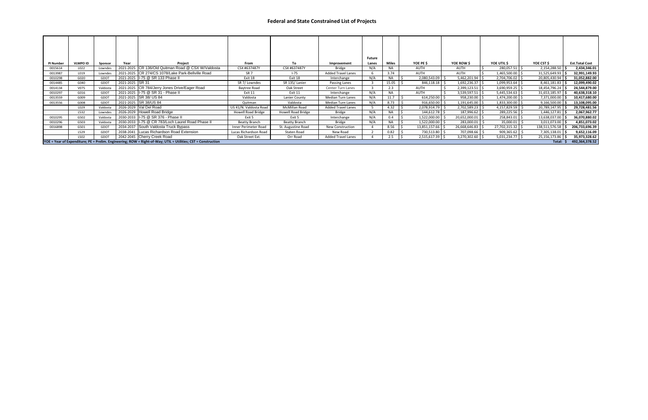| <b>PI Number</b> | <b>VLMPO ID</b> | <b>Sponsor</b> | Year                     | Project                                                                                                       | From                      | To                   | Improvement               | <b>Future</b><br>Lanes | <b>Miles</b> | YOE PE \$         | YOE ROW \$           | YOE UTIL \$         | YOE CST \$     | <b>Est.Total Cost</b> |
|------------------|-----------------|----------------|--------------------------|---------------------------------------------------------------------------------------------------------------|---------------------------|----------------------|---------------------------|------------------------|--------------|-------------------|----------------------|---------------------|----------------|-----------------------|
| 0015614          | L022            | Lowndes        |                          | 2021-2025 CR 136/Old Quitman Road @ CSX W/Valdosta                                                            | CSX #637487Y              | CSX #637487Y         | Bridge                    | N/A                    | NA.          | AUTH              | AUTH                 | $280,057.51$   \$   | 2,154,288.50   | 2,434,346.01          |
| 0013987          | L019            | Lowndes        |                          | 2021-2025   CR 274/CS 1078/Lake Park-Bellville Road                                                           | SR <sub>7</sub>           | $1-75$               | <b>Added Travel Lanes</b> |                        | 3.74         | AUTH              | AUTH                 | 1,465,500.00 \$     | 31,525,649.93  | 32,991,149.93         |
| 0010298          | G020            | GDOT           |                          | 2021-2025   I-75 @ SR 133 Phase II                                                                            | Exit 18                   | Exit 18              | Interchange               | N/A                    | <b>NA</b>    | 2,080,543.09      | $5,462,201.94$ \$    | 2,704,706.02        | 20,805,430.94  | 31,052,882.00         |
| 0014485          | G040            | GDOT           | 2021-2025 SR 31          |                                                                                                               | SR 7/ Lowndes             | SR 135/Lanier        | Passing Lanes             |                        | 15.05        | 846,118.18        | $1,692,236.37$   \$  | $1,099,953.64$   \$ | 8,461,181.83   | 12,099,490.02         |
| 0014134          | V075            | Valdosta       |                          | 2021-2025 CR 784/Jerry Jones Drive/Eager Road                                                                 | Baytree Road              | Oak Street           | <b>Center Turn Lanes</b>  |                        | 2.3          | AUTH              | $2,399,123.51$   \$  | $3,690,959.25$ \$   | 18,454,796.24  | 24,544,879.00         |
| 0010297          | G016            | GDOT           |                          | 2021-2025   I-75 @ SR 31 - Phase II                                                                           | Exit 11                   | Exit 11              | Interchange               | N/A                    | <b>NA</b>    | AUTH              | $3,539,597.51$   \$  | $5,445,534.63$ \$   | 31,653,185.97  | 40,638,318.10         |
| 0013559          | G009            | GDOT           | 2021-2025 SR 38/ US 84   |                                                                                                               | Valdosta                  | Lanier County        | <b>Median Turn Lanes</b>  | N/A                    | 11.7         | 614,250.00        | $958,230.00$   \$    | $1,474,200.00$   \$ | 7,371,000.00   | 10,417,680.00         |
| 0013556          | G008            | GDOT           | 2021-2025 SR 38/US 84    |                                                                                                               | Quitman                   | Valdosta             | <b>Median Turn Lanes</b>  | N/A                    | 8.73         | 916,650.00        | $1,191,645.00$   \$  | $1,833,300.00$   \$ | 9,166,500.00   | 13,108,095.00         |
|                  | L029            | Valdosta       | 2026-2029   Val Del Road |                                                                                                               | US 41/N. Valdosta Road    | McMillan Road        | <b>Added Travel Lanes</b> |                        | 4.32         | 2,078,914.79      | $2,702,589.23$ \$    | $4,157,829.59$ \$   | 20,789,147.95  | 29,728,481.56         |
|                  | L532            | Lowndes        |                          | 2026-2029 Howell Road Bridge                                                                                  | <b>Howell Road Bridge</b> | Howell Road Bridge   | Bridge                    | N/A                    | <b>NA</b>    | $144,612.78$   \$ | $187,996.62$ \$      | $289,225.56$ \$     | 1,446,127.81   | 2,067,962.77          |
| 0010295          | G502            | Valdosta       |                          | 2030-2033   I-75 @ SR 376 - Phase II                                                                          | Exit 5                    | Exit 5               | Interchange               | N/A                    | 0.4          | 1,522,000.00      | 20,652,000.01   \$   | $258,843.01$   \$   | 13,638,037.00  | 36,070,880.02         |
| 0010296          | G503            | Valdosta       |                          | 2030-2033   I-75 @ CR 783/Loch Laurel Road Phase II                                                           | <b>Beatty Branch</b>      | <b>Beatty Branch</b> | <b>Bridge</b>             | N/A                    | <b>NA</b>    | 1,522,000.00      | 283,000.01           | 35,000.01           | 3,011,073.00   | 4,851,073.02          |
| 0016898          | G501            | GDOT           |                          | 2034-2037 South Valdosta Truck Bypass                                                                         | Inner Perimeter Road      | St. Augustine Road   | <b>New Construction</b>   |                        | 8.56         | 13,851,157.66     | $26,668,646.83$   \$ | 27,702,315.32   \$  | 138,511,576.58 | 206,733,696.39        |
|                  | L529            | GDOT           |                          | 2038-2041   Lucas Richardson Road Extension                                                                   | Lucas Richardson Road     | Staten Road          | New Road                  |                        | 0.82         | 730,513.80        | 707,098.66 \$        | 909,365.62          | 7,305,138.01   | 9,652,116.09          |
|                  | L502            | GDOT           |                          | 2042-2045 Cherry Creek Road                                                                                   | Oak Street Ext.           | Orr Road             | <b>Added Travel Lanes</b> |                        | 2.5          | $2,515,617.39$ \$ | $3,270,302.60$   \$  | $5,031,234.77$   \$ | 25,156,173.86  | 35,973,328.62         |
|                  |                 |                |                          | YOE = Year of Expenditure; PE = Prelim. Engineering; ROW = Right-of-Way; UTIL = Utilities; CST = Construction |                           |                      |                           |                        |              |                   |                      |                     | Total: \$      | 492,364,378.52        |

# **Federal and State Constrained List of Projects**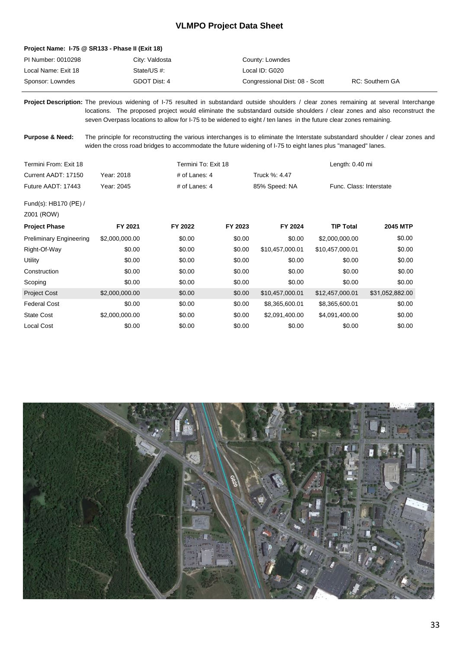# **VLMPO Project Data Sheet**

#### **Project Name: I-75 @ SR133 - Phase II (Exit 18)**

| PI Number: 0010298  | City: Valdosta | County: Lowndes                |                 |
|---------------------|----------------|--------------------------------|-----------------|
| Local Name: Exit 18 | State/US #:    | Local ID: G020                 |                 |
| Sponsor: Lowndes    | GDOT Dist: 4   | Congressional Dist: 08 - Scott | RC: Southern GA |

Project Description: The previous widening of I-75 resulted in substandard outside shoulders / clear zones remaining at several Interchange locations. The proposed project would eliminate the substandard outside shoulders / clear zones and also reconstruct the seven Overpass locations to allow for I-75 to be widened to eight / ten lanes in the future clear zones remaining.

The principle for reconstructing the various interchanges is to eliminate the Interstate substandard shoulder / clear zones and widen the cross road bridges to accommodate the future widening of I-75 to eight lanes plus "managed" lanes. **Purpose & Need:** 

| Termini From: Exit 18              |                | Termini To: Exit 18 |         |                 | Length: 0.40 mi         |                 |  |
|------------------------------------|----------------|---------------------|---------|-----------------|-------------------------|-----------------|--|
| Current AADT: 17150<br>Year: 2018  |                | # of Lanes: 4       |         | Truck %: 4.47   |                         |                 |  |
| Future AADT: 17443                 | Year: 2045     | # of Lanes: 4       |         | 85% Speed: NA   | Func. Class: Interstate |                 |  |
| Fund(s): HB170 (PE) /              |                |                     |         |                 |                         |                 |  |
| Z001 (ROW)<br><b>Project Phase</b> | FY 2021        | FY 2022             | FY 2023 | FY 2024         | <b>TIP Total</b>        | <b>2045 MTP</b> |  |
| <b>Preliminary Engineering</b>     | \$2,000,000.00 | \$0.00              | \$0.00  | \$0.00          | \$2,000,000.00          | \$0.00          |  |
| Right-Of-Way                       | \$0.00         | \$0.00              | \$0.00  | \$10,457,000.01 | \$10,457,000.01         | \$0.00          |  |
| Utility                            | \$0.00         | \$0.00              | \$0.00  | \$0.00          | \$0.00                  | \$0.00          |  |
| Construction                       | \$0.00         | \$0.00              | \$0.00  | \$0.00          | \$0.00                  | \$0.00          |  |
| Scoping                            | \$0.00         | \$0.00              | \$0.00  | \$0.00          | \$0.00                  | \$0.00          |  |
| <b>Project Cost</b>                | \$2,000,000.00 | \$0.00              | \$0.00  | \$10,457,000.01 | \$12,457,000.01         | \$31,052,882.00 |  |
| <b>Federal Cost</b>                | \$0.00         | \$0.00              | \$0.00  | \$8,365,600.01  | \$8,365,600.01          | \$0.00          |  |
| <b>State Cost</b>                  | \$2,000,000.00 | \$0.00              | \$0.00  | \$2,091,400.00  | \$4,091,400.00          | \$0.00          |  |
| Local Cost                         | \$0.00         | \$0.00              | \$0.00  | \$0.00          | \$0.00                  | \$0.00          |  |

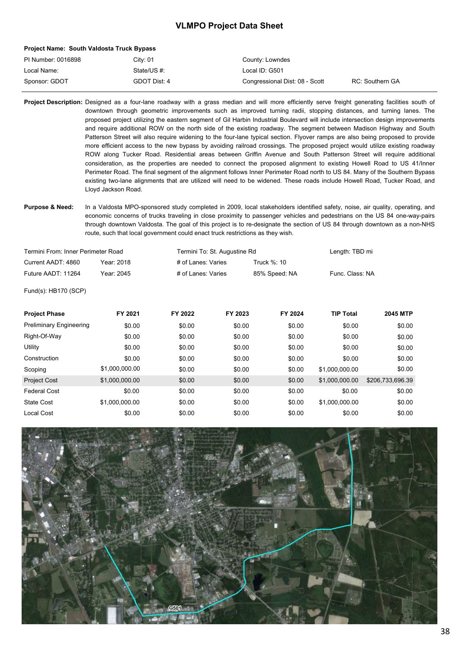### **VLMPO Project Data Sheet**

#### **Project Name: South Valdosta Truck Bypass**

| PI Number: 0016898 | Citv: 01     | County: Lowndes                |                 |
|--------------------|--------------|--------------------------------|-----------------|
| Local Name:        | State/US #:  | Local ID: G501                 |                 |
| Sponsor: GDOT      | GDOT Dist: 4 | Congressional Dist: 08 - Scott | RC: Southern GA |

Project Description: Designed as a four-lane roadway with a grass median and will more efficiently serve freight generating facilities south of downtown through geometric improvements such as improved turning radii, stopping distances, and turning lanes. The proposed project utilizing the eastern segment of Gil Harbin Industrial Boulevard will include intersection design improvements and require additional ROW on the north side of the existing roadway. The segment between Madison Highway and South Patterson Street will also require widening to the four-lane typical section. Flyover ramps are also being proposed to provide more efficient access to the new bypass by avoiding railroad crossings. The proposed project would utilize existing roadway ROW along Tucker Road. Residential areas between Griffin Avenue and South Patterson Street will require additional consideration, as the properties are needed to connect the proposed alignment to existing Howell Road to US 41/Inner Perimeter Road. The final segment of the alignment follows Inner Perimeter Road north to US 84. Many of the Southern Bypass existing two-lane alignments that are utilized will need to be widened. These roads include Howell Road, Tucker Road, and Lloyd Jackson Road.

Purpose & Need: In a Valdosta MPO-sponsored study completed in 2009, local stakeholders identified safety, noise, air quality, operating, and economic concerns of trucks traveling in close proximity to passenger vehicles and pedestrians on the US 84 one-way-pairs through downtown Valdosta. The goal of this project is to re-designate the section of US 84 through downtown as a non-NHS route, such that local government could enact truck restrictions as they wish.

| Termini From: Inner Perimeter Road |            |                    | Termini To: St. Augustine Rd |                 |  |  |
|------------------------------------|------------|--------------------|------------------------------|-----------------|--|--|
| Current AADT: 4860                 | Year: 2018 | # of Lanes: Varies | Truck %: 10                  |                 |  |  |
| Future AADT: 11264                 | Year: 2045 | # of Lanes: Varies | 85% Speed: NA                | Func. Class: NA |  |  |
| Fund(s): HB170 (SCP)               |            |                    |                              |                 |  |  |

| <b>Project Phase</b>           | FY 2021        | FY 2022 | FY 2023 | FY 2024 | <b>TIP Total</b> | <b>2045 MTP</b>  |
|--------------------------------|----------------|---------|---------|---------|------------------|------------------|
| <b>Preliminary Engineering</b> | \$0.00         | \$0.00  | \$0.00  | \$0.00  | \$0.00           | \$0.00           |
| Right-Of-Way                   | \$0.00         | \$0.00  | \$0.00  | \$0.00  | \$0.00           | \$0.00           |
| Utility                        | \$0.00         | \$0.00  | \$0.00  | \$0.00  | \$0.00           | \$0.00           |
| Construction                   | \$0.00         | \$0.00  | \$0.00  | \$0.00  | \$0.00           | \$0.00           |
| Scoping                        | \$1.000.000.00 | \$0.00  | \$0.00  | \$0.00  | \$1.000.000.00   | \$0.00           |
| <b>Project Cost</b>            | \$1,000,000.00 | \$0.00  | \$0.00  | \$0.00  | \$1.000.000.00   | \$206.733.696.39 |
| <b>Federal Cost</b>            | \$0.00         | \$0.00  | \$0.00  | \$0.00  | \$0.00           | \$0.00           |
| <b>State Cost</b>              | \$1.000.000.00 | \$0.00  | \$0.00  | \$0.00  | \$1.000.000.00   | \$0.00           |
| Local Cost                     | \$0.00         | \$0.00  | \$0.00  | \$0.00  | \$0.00           | \$0.00           |